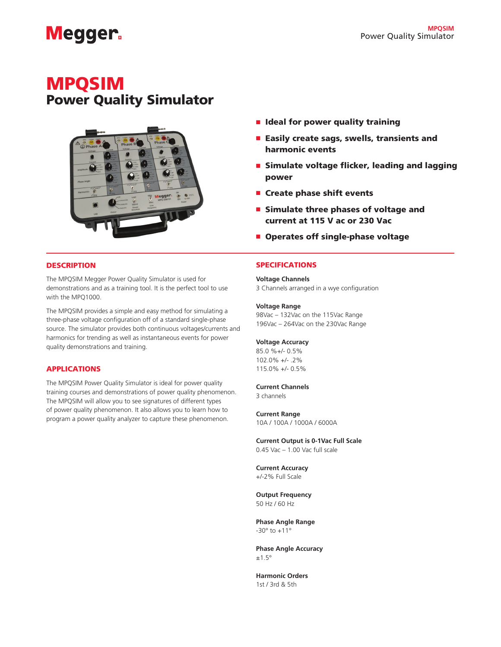# **Megger**

## MPQSIM Power Quality Simulator



- Ideal for power quality training
- Easily create sags, swells, transients and harmonic events
- Simulate voltage flicker, leading and lagging power
- Create phase shift events
- Simulate three phases of voltage and current at 115 V ac or 230 Vac
- Operates off single-phase voltage

#### **DESCRIPTION**

The MPQSIM Megger Power Quality Simulator is used for demonstrations and as a training tool. It is the perfect tool to use with the MPQ1000.

The MPQSIM provides a simple and easy method for simulating a three-phase voltage configuration off of a standard single-phase source. The simulator provides both continuous voltages/currents and harmonics for trending as well as instantaneous events for power quality demonstrations and training.

#### APPLICATIONS

The MPQSIM Power Quality Simulator is ideal for power quality training courses and demonstrations of power quality phenomenon. The MPQSIM will allow you to see signatures of different types of power quality phenomenon. It also allows you to learn how to program a power quality analyzer to capture these phenomenon.

#### SPECIFICATIONS

**Voltage Channels** 

3 Channels arranged in a wye configuration

#### **Voltage Range**

98Vac – 132Vac on the 115Vac Range 196Vac – 264Vac on the 230Vac Range

#### **Voltage Accuracy**

85.0 %+/- 0.5% 102.0% +/- .2% 115.0% +/- 0.5%

#### **Current Channels**

3 channels

#### **Current Range**

10A / 100A / 1000A / 6000A

**Current Output is 0-1Vac Full Scale** 0.45 Vac – 1.00 Vac full scale

**Current Accuracy** +/-2% Full Scale

**Output Frequency**  50 Hz / 60 Hz

**Phase Angle Range**  $-30^{\circ}$  to  $+11^{\circ}$ 

**Phase Angle Accuracy**  $±1.5^\circ$ 

**Harmonic Orders** 1st / 3rd & 5th